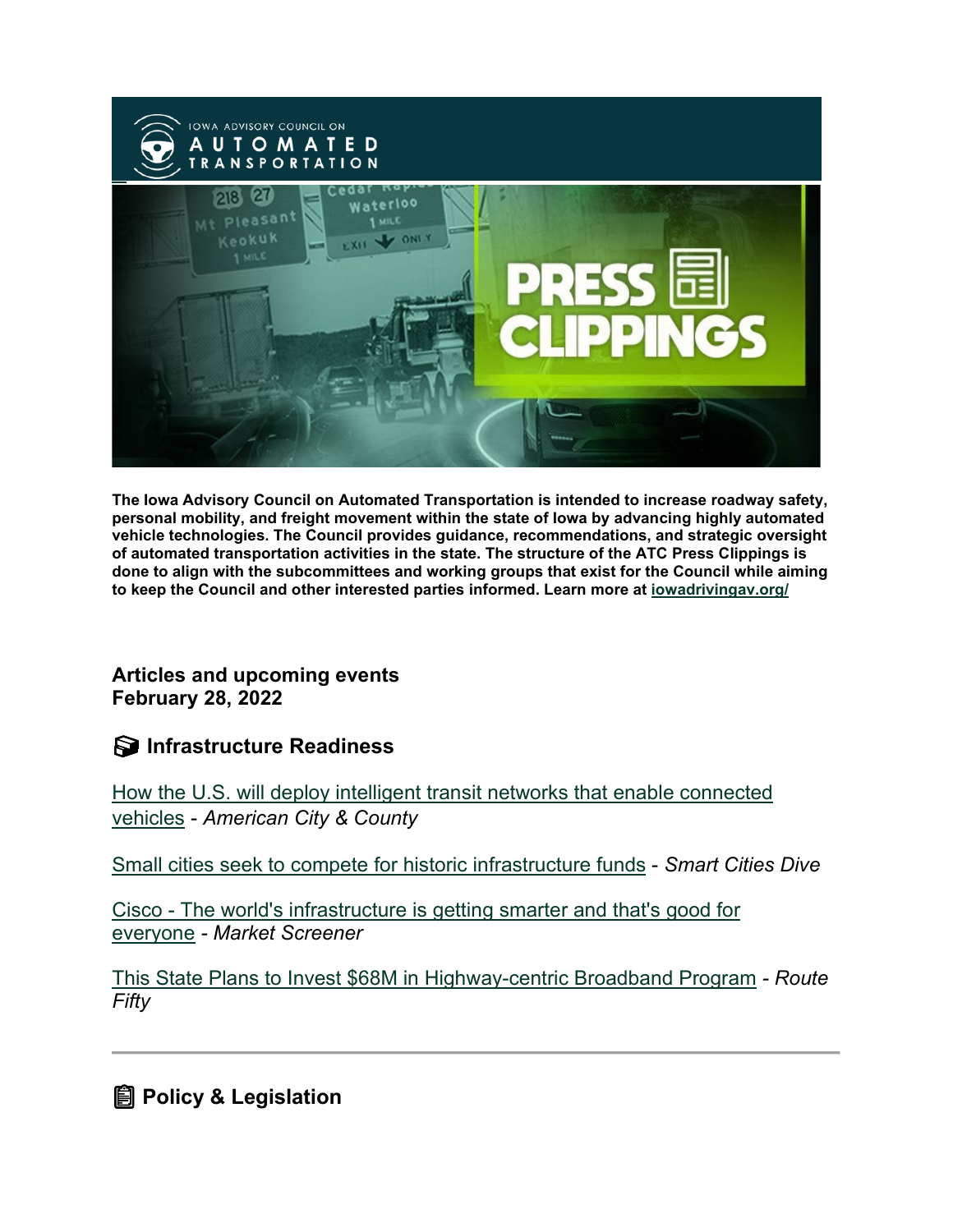

**The Iowa Advisory Council on Automated Transportation is intended to increase roadway safety, personal mobility, and freight movement within the state of Iowa by advancing highly automated vehicle technologies. The Council provides guidance, recommendations, and strategic oversight of automated transportation activities in the state. The structure of the ATC Press Clippings is done to align with the subcommittees and working groups that exist for the Council while aiming to keep the Council and other interested parties informed. Learn more at [iowadrivingav.org/](https://iowadrivingav.org/?utm_medium=email&utm_source=govdelivery)**

### **Articles and upcoming events February 28, 2022**

## **S** Infrastructure Readiness

[How the U.S. will deploy intelligent transit](https://www.americancityandcounty.com/2022/02/15/how-the-u-s-will-deploy-intelligent-transit-networks-that-enable-connected-vehicles/?utm_medium=email&utm_source=govdelivery) networks that enable connected [vehicles](https://www.americancityandcounty.com/2022/02/15/how-the-u-s-will-deploy-intelligent-transit-networks-that-enable-connected-vehicles/?utm_medium=email&utm_source=govdelivery) - *American City & County*

[Small cities seek to compete for historic infrastructure funds](https://www.smartcitiesdive.com/news/small-cities-seek-to-compete-for-historic-infrastructure-funds/619039/?utm_medium=email&utm_source=govdelivery) - *Smart Cities Dive*

Cisco - [The world's infrastructure is getting smarter and that's good for](https://www.marketscreener.com/quote/stock/CISCO-SYSTEMS-INC-4862/news/Cisco-The-world-s-infrastructure-is-getting-smarter-and-that-s-good-for-everyone-39555123/?utm_medium=email&utm_source=govdelivery)  [everyone](https://www.marketscreener.com/quote/stock/CISCO-SYSTEMS-INC-4862/news/Cisco-The-world-s-infrastructure-is-getting-smarter-and-that-s-good-for-everyone-39555123/?utm_medium=email&utm_source=govdelivery) *- Market Screener*

[This State Plans to Invest \\$68M in Highway-centric Broadband Program](https://www.route-fifty.com/tech-data/2022/02/state-plans-invest-68m-highway-centric-broadband-program/362308/?utm_medium=email&utm_source=govdelivery) *- Route Fifty*

**Policy & Legislation**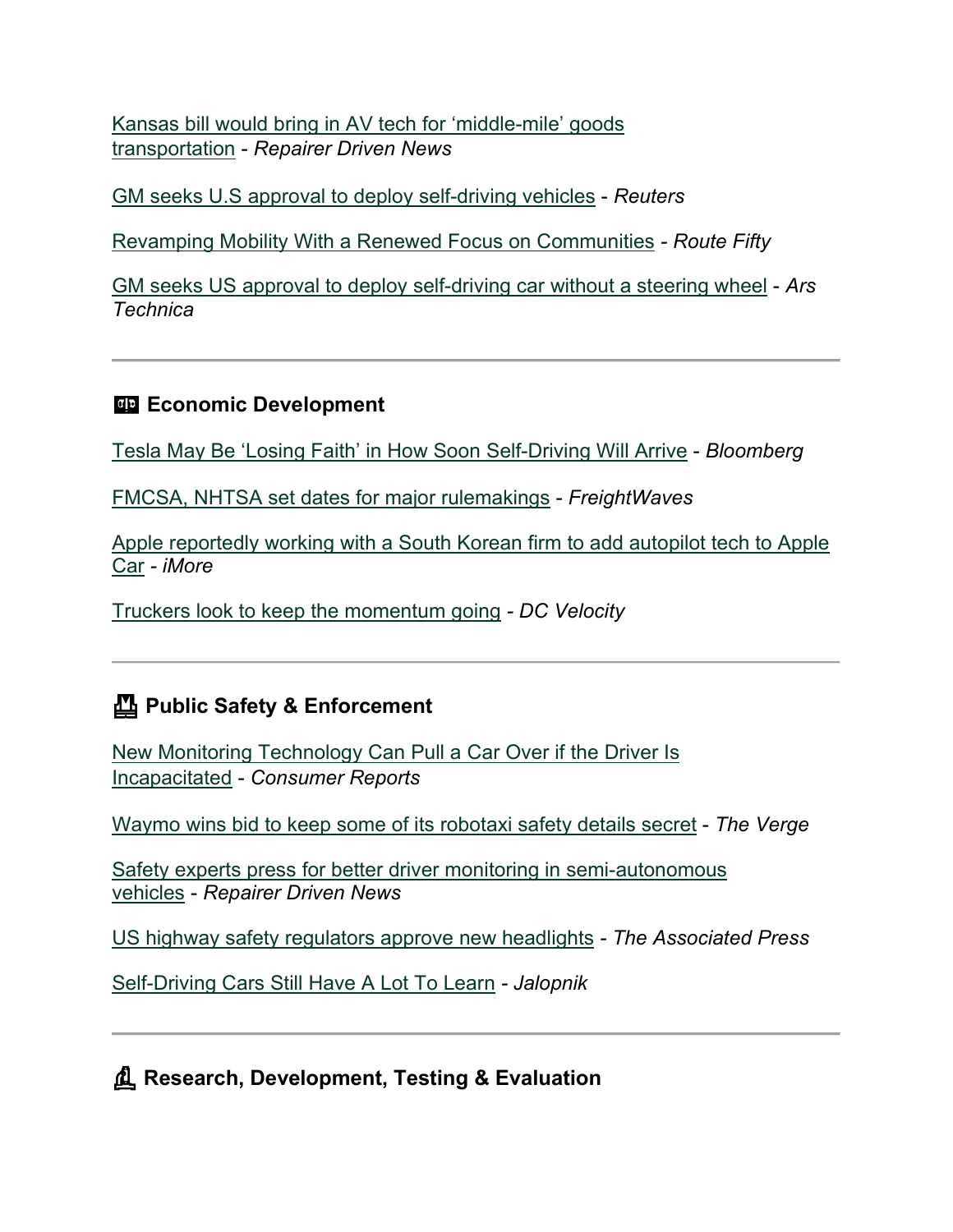[Kansas bill would bring in AV tech for 'middle-mile' goods](https://www.repairerdrivennews.com/2022/02/14/kansas-bill-would-bring-in-av-tech-for-middle-mile-goods-transportation/?utm_medium=email&utm_source=govdelivery)  [transportation](https://www.repairerdrivennews.com/2022/02/14/kansas-bill-would-bring-in-av-tech-for-middle-mile-goods-transportation/?utm_medium=email&utm_source=govdelivery) - *Repairer Driven News*

[GM seeks U.S approval to deploy self-driving vehicles](https://www.reuters.com/business/autos-transportation/gm-seeks-us-approval-deploy-self-driving-vehicle-2022-02-18/?utm_medium=email&utm_source=govdelivery) - *Reuters*

[Revamping Mobility With a Renewed Focus on Communities](https://www.route-fifty.com/tech-data/2022/02/revamping-mobility-renewed-focus-communities/362316/?utm_medium=email&utm_source=govdelivery) *- Route Fifty*

[GM seeks US approval to deploy self-driving car without a steering wheel](https://arstechnica.com/cars/2022/02/gm-seeks-us-approval-to-put-driverless-cruise-origin-into-commercial-service/?utm_medium=email&utm_source=govdelivery) - *Ars Technica*

## **Example 2** Economic Development

[Tesla May Be 'Losing Faith' in How Soon Self-Driving Will Arrive](https://www.bloomberg.com/news/articles/2022-02-14/tesla-may-be-losing-faith-in-how-soon-self-driving-will-arrive?utm_medium=email&utm_source=govdelivery) - *Bloomberg*

[FMCSA, NHTSA set dates for major rulemakings](https://www.freightwaves.com/news/fmcsa-nhtsa-set-dates-for-major-rulemakings?utm_medium=email&utm_source=govdelivery) - *FreightWaves*

[Apple reportedly working with a South Korean firm to add autopilot tech to Apple](https://www.imore.com/apple-reportedly-working-south-korean-firm-add-autopilot-tech-apple-car?utm_campaign=E474328F-AA3C-4FF2-804E-7D67BBBF176B&utm_content=60126A33-48E7-4D20-8964-EC5B9CFF1389&utm_medium=email&utm_source=govdelivery&utm_term=E1ED6DA7-DE6F-4C56-B356-A2692BD08E23)  [Car](https://www.imore.com/apple-reportedly-working-south-korean-firm-add-autopilot-tech-apple-car?utm_campaign=E474328F-AA3C-4FF2-804E-7D67BBBF176B&utm_content=60126A33-48E7-4D20-8964-EC5B9CFF1389&utm_medium=email&utm_source=govdelivery&utm_term=E1ED6DA7-DE6F-4C56-B356-A2692BD08E23) *- iMore*

[Truckers look to keep the momentum going](https://www.dcvelocity.com/articles/53853-truckers-look-to-keep-the-momentum-going?utm_medium=email&utm_source=govdelivery) *- DC Velocity*

## **Public Safety & Enforcement**

[New Monitoring Technology Can Pull a Car Over if the Driver Is](https://www.consumerreports.org/car-safety/driver-monitoring-can-pull-car-over-if-driver-incapacitated-a1204997865/?utm_medium=email&utm_source=govdelivery)  [Incapacitated](https://www.consumerreports.org/car-safety/driver-monitoring-can-pull-car-over-if-driver-incapacitated-a1204997865/?utm_medium=email&utm_source=govdelivery) - *Consumer Reports*

[Waymo wins bid to keep some of its robotaxi safety details secret](https://www.theverge.com/2022/2/23/22947595/waymo-lawsuit-california-dmv-secret-win-injunction?utm_medium=email&utm_source=govdelivery) - *The Verge*

[Safety experts press for better driver monitoring in semi-autonomous](https://www.repairerdrivennews.com/2022/02/17/safety-experts-press-for-better-driver-monitoring-in-semi-autonomous-vehicles/?utm_medium=email&utm_source=govdelivery)  [vehicles](https://www.repairerdrivennews.com/2022/02/17/safety-experts-press-for-better-driver-monitoring-in-semi-autonomous-vehicles/?utm_medium=email&utm_source=govdelivery) - *Repairer Driven News*

[US highway safety regulators approve new headlights](https://fox59.com/news/national-world/us-highway-safety-regulators-approve-new-headlights/?utm_medium=email&utm_source=govdelivery) *- The Associated Press*

[Self-Driving Cars Still Have A Lot To Learn](https://jalopnik.com/self-driving-cars-still-have-a-lot-to-learn-1848533182?utm_medium=email&utm_source=govdelivery) *- Jalopnik*

**Research, Development, Testing & Evaluation**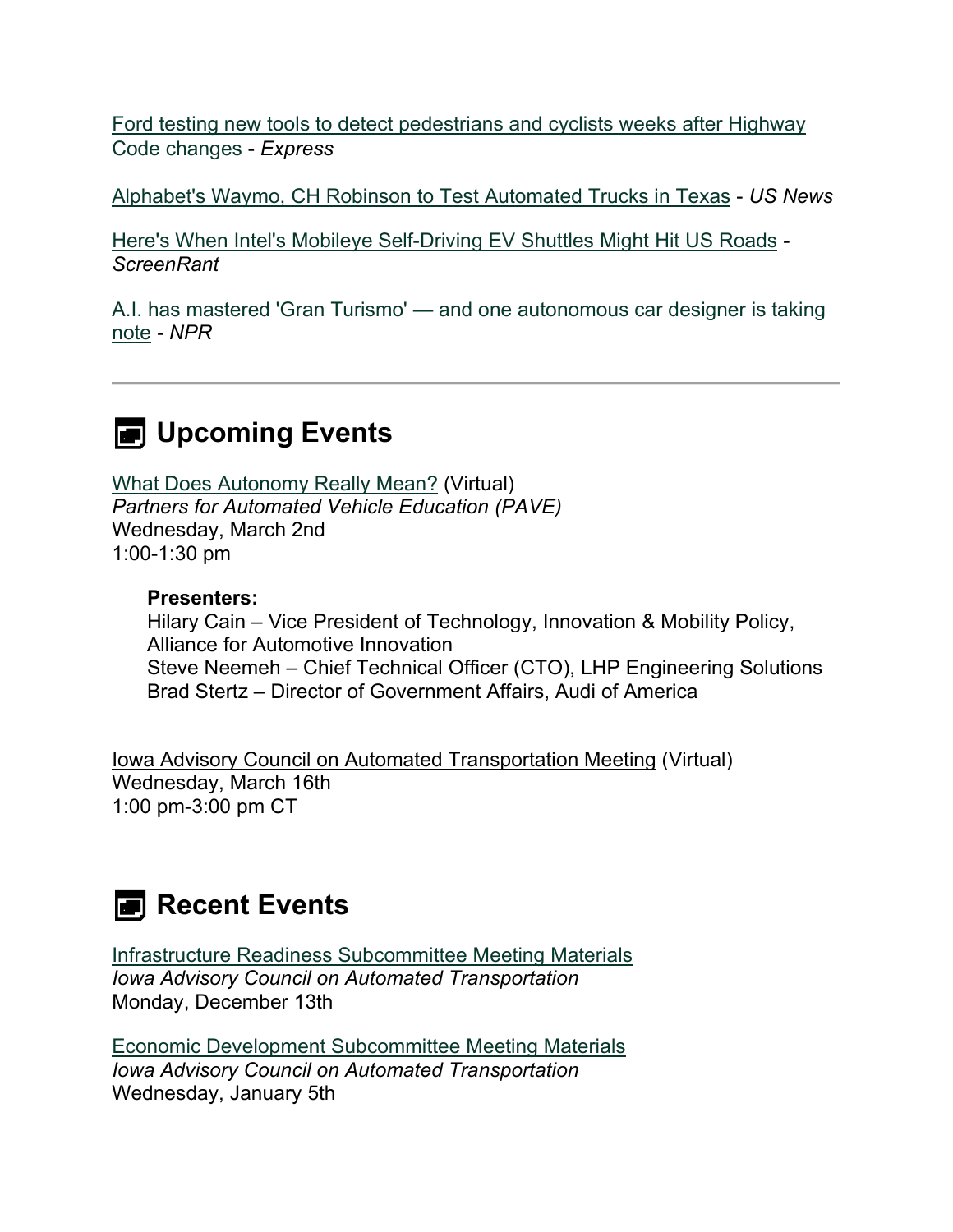[Ford testing new tools to detect pedestrians and cyclists weeks after Highway](https://www.express.co.uk/life-style/cars/1567534/ford-cars-audio-warnings-highway-code-changes?utm_medium=email&utm_source=govdelivery)  [Code changes](https://www.express.co.uk/life-style/cars/1567534/ford-cars-audio-warnings-highway-code-changes?utm_medium=email&utm_source=govdelivery) - *Express*

[Alphabet's Waymo, CH Robinson to Test Automated Trucks in Texas](https://money.usnews.com/investing/news/articles/2022-02-16/alphabets-waymo-ch-robinson-to-test-automated-trucks-in-texas?utm_medium=email&utm_source=govdelivery) - *US News*

[Here's When Intel's Mobileye Self-Driving EV Shuttles Might Hit US Roads](https://screenrant.com/intel-mobileye-self-driving-ev-shuttles-us-plans/?utm_medium=email&utm_source=govdelivery) *- ScreenRant*

A.I. has mastered 'Gran Turismo' — [and one autonomous car designer is taking](https://www.npr.org/2022/02/23/1080976330/ai-video-games-sony-playstation-gran-turismo-autonomous-car?utm_medium=email&utm_source=govdelivery)  [note](https://www.npr.org/2022/02/23/1080976330/ai-video-games-sony-playstation-gran-turismo-autonomous-car?utm_medium=email&utm_source=govdelivery) *- NPR*

# **E** Upcoming Events

[What Does Autonomy Really Mean?](https://pavecampaign.org/event/pave-virtual-panel-what-does-autonomy-really-mean/?utm_medium=email&utm_source=govdelivery) (Virtual) *Partners for Automated Vehicle Education (PAVE)* Wednesday, March 2nd 1:00-1:30 pm

### **Presenters:**

Hilary Cain – Vice President of Technology, Innovation & Mobility Policy, Alliance for Automotive Innovation Steve Neemeh – Chief Technical Officer (CTO), LHP Engineering Solutions Brad Stertz – Director of Government Affairs, Audi of America

Iowa Advisory Council on Automated Transportation Meeting (Virtual) Wednesday, March 16th 1:00 pm-3:00 pm CT

## **Recent Events**

[Infrastructure Readiness Subcommittee Meeting Materials](https://iowadrivingav.org/pdf/12132021-IR-Subcommittee-Mtg-Materials.pdf?utm_medium=email&utm_source=govdelivery) *Iowa Advisory Council on Automated Transportation* Monday, December 13th

[Economic Development Subcommittee Meeting Materials](https://iowadrivingav.org/pdf/010522-EcDev-Subcommittee-Meeting-Materials.pdf?utm_medium=email&utm_source=govdelivery) *Iowa Advisory Council on Automated Transportation* Wednesday, January 5th